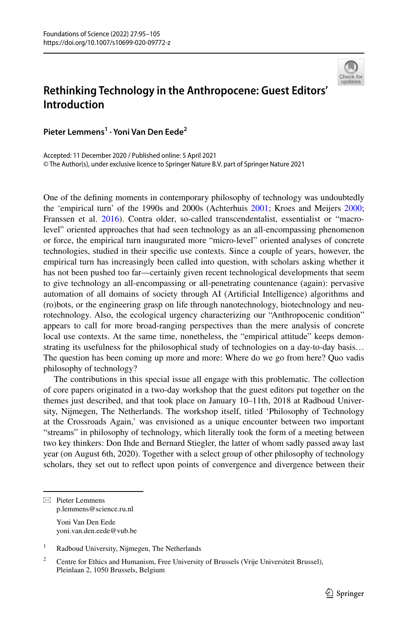

# **Rethinking Technology in the Anthropocene: Guest Editors' Introduction**

**Pieter Lemmens1 · Yoni Van Den Eede2**

Accepted: 11 December 2020 / Published online: 5 April 2021 © The Author(s), under exclusive licence to Springer Nature B.V. part of Springer Nature 2021

One of the defning moments in contemporary philosophy of technology was undoubtedly the 'empirical turn' of the 1990s and 2000s (Achterhuis [2001](#page-9-0); Kroes and Meijers [2000;](#page-9-1) Franssen et al. [2016](#page-9-2)). Contra older, so-called transcendentalist, essentialist or "macrolevel" oriented approaches that had seen technology as an all-encompassing phenomenon or force, the empirical turn inaugurated more "micro-level" oriented analyses of concrete technologies, studied in their specifc use contexts. Since a couple of years, however, the empirical turn has increasingly been called into question, with scholars asking whether it has not been pushed too far—certainly given recent technological developments that seem to give technology an all-encompassing or all-penetrating countenance (again): pervasive automation of all domains of society through AI (Artifcial Intelligence) algorithms and (ro)bots, or the engineering grasp on life through nanotechnology, biotechnology and neurotechnology. Also, the ecological urgency characterizing our "Anthropocenic condition" appears to call for more broad-ranging perspectives than the mere analysis of concrete local use contexts. At the same time, nonetheless, the "empirical attitude" keeps demonstrating its usefulness for the philosophical study of technologies on a day-to-day basis… The question has been coming up more and more: Where do we go from here? Quo vadis philosophy of technology?

The contributions in this special issue all engage with this problematic. The collection of core papers originated in a two-day workshop that the guest editors put together on the themes just described, and that took place on January 10–11th, 2018 at Radboud University, Nijmegen, The Netherlands. The workshop itself, titled 'Philosophy of Technology at the Crossroads Again,' was envisioned as a unique encounter between two important "streams" in philosophy of technology, which literally took the form of a meeting between two key thinkers: Don Ihde and Bernard Stiegler, the latter of whom sadly passed away last year (on August 6th, 2020). Together with a select group of other philosophy of technology scholars, they set out to refect upon points of convergence and divergence between their

 $\boxtimes$  Pieter Lemmens p.lemmens@science.ru.nl

Yoni Van Den Eede yoni.van.den.eede@vub.be

<sup>&</sup>lt;sup>1</sup> Radboud University, Nijmegen, The Netherlands

<sup>&</sup>lt;sup>2</sup> Centre for Ethics and Humanism, Free University of Brussels (Vrije Universiteit Brussel), Pleinlaan 2, 1050 Brussels, Belgium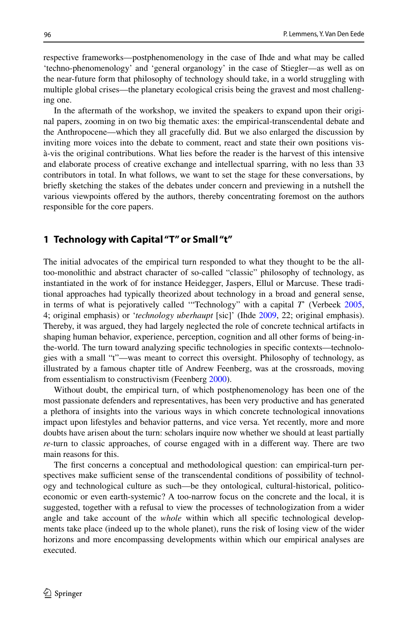respective frameworks—postphenomenology in the case of Ihde and what may be called 'techno-phenomenology' and 'general organology' in the case of Stiegler—as well as on the near-future form that philosophy of technology should take, in a world struggling with multiple global crises—the planetary ecological crisis being the gravest and most challenging one.

In the aftermath of the workshop, we invited the speakers to expand upon their original papers, zooming in on two big thematic axes: the empirical-transcendental debate and the Anthropocene—which they all gracefully did. But we also enlarged the discussion by inviting more voices into the debate to comment, react and state their own positions visà-vis the original contributions. What lies before the reader is the harvest of this intensive and elaborate process of creative exchange and intellectual sparring, with no less than 33 contributors in total. In what follows, we want to set the stage for these conversations, by briefy sketching the stakes of the debates under concern and previewing in a nutshell the various viewpoints ofered by the authors, thereby concentrating foremost on the authors responsible for the core papers.

## **1 Technology with Capital "T" or Small "t"**

The initial advocates of the empirical turn responded to what they thought to be the alltoo-monolithic and abstract character of so-called "classic" philosophy of technology, as instantiated in the work of for instance Heidegger, Jaspers, Ellul or Marcuse. These traditional approaches had typically theorized about technology in a broad and general sense, in terms of what is pejoratively called '"Technology" with a capital *T*' (Verbeek [2005](#page-10-0), 4; original emphasis) or '*technology uberhaupt* [sic]' (Ihde [2009](#page-9-3), 22; original emphasis). Thereby, it was argued, they had largely neglected the role of concrete technical artifacts in shaping human behavior, experience, perception, cognition and all other forms of being-inthe-world. The turn toward analyzing specifc technologies in specifc contexts—technologies with a small "t"—was meant to correct this oversight. Philosophy of technology, as illustrated by a famous chapter title of Andrew Feenberg, was at the crossroads, moving from essentialism to constructivism (Feenberg [2000](#page-9-4)).

Without doubt, the empirical turn, of which postphenomenology has been one of the most passionate defenders and representatives, has been very productive and has generated a plethora of insights into the various ways in which concrete technological innovations impact upon lifestyles and behavior patterns, and vice versa. Yet recently, more and more doubts have arisen about the turn: scholars inquire now whether we should at least partially *re*-turn to classic approaches, of course engaged with in a diferent way. There are two main reasons for this.

The frst concerns a conceptual and methodological question: can empirical-turn perspectives make sufficient sense of the transcendental conditions of possibility of technology and technological culture as such—be they ontological, cultural-historical, politicoeconomic or even earth-systemic? A too-narrow focus on the concrete and the local, it is suggested, together with a refusal to view the processes of technologization from a wider angle and take account of the *whole* within which all specifc technological developments take place (indeed up to the whole planet), runs the risk of losing view of the wider horizons and more encompassing developments within which our empirical analyses are executed.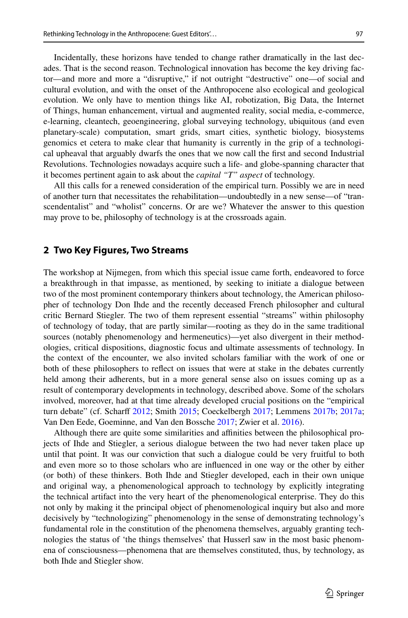Incidentally, these horizons have tended to change rather dramatically in the last decades. That is the second reason. Technological innovation has become the key driving factor—and more and more a "disruptive," if not outright "destructive" one—of social and cultural evolution, and with the onset of the Anthropocene also ecological and geological evolution. We only have to mention things like AI, robotization, Big Data, the Internet of Things, human enhancement, virtual and augmented reality, social media, e-commerce, e-learning, cleantech, geoengineering, global surveying technology, ubiquitous (and even planetary-scale) computation, smart grids, smart cities, synthetic biology, biosystems genomics et cetera to make clear that humanity is currently in the grip of a technological upheaval that arguably dwarfs the ones that we now call the frst and second Industrial Revolutions. Technologies nowadays acquire such a life- and globe-spanning character that it becomes pertinent again to ask about the *capital "T" aspect* of technology.

All this calls for a renewed consideration of the empirical turn. Possibly we are in need of another turn that necessitates the rehabilitation—undoubtedly in a new sense—of "transcendentalist" and "wholist" concerns. Or are we? Whatever the answer to this question may prove to be, philosophy of technology is at the crossroads again.

#### **2 Two Key Figures, Two Streams**

The workshop at Nijmegen, from which this special issue came forth, endeavored to force a breakthrough in that impasse, as mentioned, by seeking to initiate a dialogue between two of the most prominent contemporary thinkers about technology, the American philosopher of technology Don Ihde and the recently deceased French philosopher and cultural critic Bernard Stiegler. The two of them represent essential "streams" within philosophy of technology of today, that are partly similar—rooting as they do in the same traditional sources (notably phenomenology and hermeneutics)—yet also divergent in their methodologies, critical dispositions, diagnostic focus and ultimate assessments of technology. In the context of the encounter, we also invited scholars familiar with the work of one or both of these philosophers to refect on issues that were at stake in the debates currently held among their adherents, but in a more general sense also on issues coming up as a result of contemporary developments in technology, described above. Some of the scholars involved, moreover, had at that time already developed crucial positions on the "empirical turn debate" (cf. Scharf [2012;](#page-9-5) Smith [2015](#page-9-6); Coeckelbergh [2017;](#page-9-7) Lemmens [2017b](#page-9-8); [2017a;](#page-9-9) Van Den Eede, Goeminne, and Van den Bossche [2017;](#page-10-1) Zwier et al. [2016\)](#page-10-2).

Although there are quite some similarities and afnities between the philosophical projects of Ihde and Stiegler, a serious dialogue between the two had never taken place up until that point. It was our conviction that such a dialogue could be very fruitful to both and even more so to those scholars who are infuenced in one way or the other by either (or both) of these thinkers. Both Ihde and Stiegler developed, each in their own unique and original way, a phenomenological approach to technology by explicitly integrating the technical artifact into the very heart of the phenomenological enterprise. They do this not only by making it the principal object of phenomenological inquiry but also and more decisively by "technologizing" phenomenology in the sense of demonstrating technology's fundamental role in the constitution of the phenomena themselves, arguably granting technologies the status of 'the things themselves' that Husserl saw in the most basic phenomena of consciousness—phenomena that are themselves constituted, thus, by technology, as both Ihde and Stiegler show.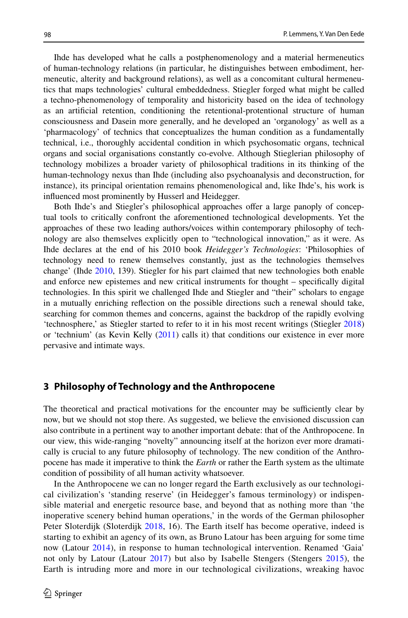Ihde has developed what he calls a postphenomenology and a material hermeneutics of human-technology relations (in particular, he distinguishes between embodiment, hermeneutic, alterity and background relations), as well as a concomitant cultural hermeneutics that maps technologies' cultural embeddedness. Stiegler forged what might be called a techno-phenomenology of temporality and historicity based on the idea of technology as an artifcial retention, conditioning the retentional-protentional structure of human consciousness and Dasein more generally, and he developed an 'organology' as well as a 'pharmacology' of technics that conceptualizes the human condition as a fundamentally technical, i.e., thoroughly accidental condition in which psychosomatic organs, technical organs and social organisations constantly co-evolve. Although Stieglerian philosophy of technology mobilizes a broader variety of philosophical traditions in its thinking of the human-technology nexus than Ihde (including also psychoanalysis and deconstruction, for instance), its principal orientation remains phenomenological and, like Ihde's, his work is infuenced most prominently by Husserl and Heidegger.

Both Ihde's and Stiegler's philosophical approaches offer a large panoply of conceptual tools to critically confront the aforementioned technological developments. Yet the approaches of these two leading authors/voices within contemporary philosophy of technology are also themselves explicitly open to "technological innovation," as it were. As Ihde declares at the end of his 2010 book *Heidegger's Technologies*: 'Philosophies of technology need to renew themselves constantly, just as the technologies themselves change' (Ihde [2010](#page-9-10), 139). Stiegler for his part claimed that new technologies both enable and enforce new epistemes and new critical instruments for thought – specifcally digital technologies. In this spirit we challenged Ihde and Stiegler and "their" scholars to engage in a mutually enriching refection on the possible directions such a renewal should take, searching for common themes and concerns, against the backdrop of the rapidly evolving 'technosphere,' as Stiegler started to refer to it in his most recent writings (Stiegler [2018](#page-9-11)) or 'technium' (as Kevin Kelly ([2011\)](#page-9-12) calls it) that conditions our existence in ever more pervasive and intimate ways.

#### **3 Philosophy of Technology and the Anthropocene**

The theoretical and practical motivations for the encounter may be sufficiently clear by now, but we should not stop there. As suggested, we believe the envisioned discussion can also contribute in a pertinent way to another important debate: that of the Anthropocene. In our view, this wide-ranging "novelty" announcing itself at the horizon ever more dramatically is crucial to any future philosophy of technology. The new condition of the Anthropocene has made it imperative to think the *Earth* or rather the Earth system as the ultimate condition of possibility of all human activity whatsoever.

In the Anthropocene we can no longer regard the Earth exclusively as our technological civilization's 'standing reserve' (in Heidegger's famous terminology) or indispensible material and energetic resource base, and beyond that as nothing more than 'the inoperative scenery behind human operations,' in the words of the German philosopher Peter Sloterdijk (Sloterdijk [2018,](#page-9-13) 16). The Earth itself has become operative, indeed is starting to exhibit an agency of its own, as Bruno Latour has been arguing for some time now (Latour [2014](#page-9-14)), in response to human technological intervention. Renamed 'Gaia' not only by Latour (Latour [2017](#page-9-15)) but also by Isabelle Stengers (Stengers [2015\)](#page-9-16), the Earth is intruding more and more in our technological civilizations, wreaking havoc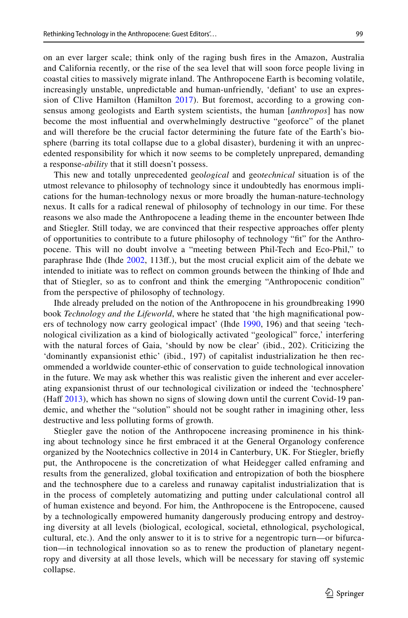on an ever larger scale; think only of the raging bush fres in the Amazon, Australia and California recently, or the rise of the sea level that will soon force people living in coastal cities to massively migrate inland. The Anthropocene Earth is becoming volatile, increasingly unstable, unpredictable and human-unfriendly, 'defant' to use an expression of Clive Hamilton (Hamilton [2017](#page-9-17)). But foremost, according to a growing consensus among geologists and Earth system scientists, the human [*anthropos*] has now become the most infuential and overwhelmingly destructive "geoforce" of the planet and will therefore be the crucial factor determining the future fate of the Earth's biosphere (barring its total collapse due to a global disaster), burdening it with an unprecedented responsibility for which it now seems to be completely unprepared, demanding a response-*ability* that it still doesn't possess.

This new and totally unprecedented geo*logical* and geo*technical* situation is of the utmost relevance to philosophy of technology since it undoubtedly has enormous implications for the human-technology nexus or more broadly the human-nature-technology nexus. It calls for a radical renewal of philosophy of technology in our time. For these reasons we also made the Anthropocene a leading theme in the encounter between Ihde and Stiegler. Still today, we are convinced that their respective approaches ofer plenty of opportunities to contribute to a future philosophy of technology "ft" for the Anthropocene. This will no doubt involve a "meeting between Phil-Tech and Eco-Phil," to paraphrase Ihde (Ihde [2002](#page-9-18), 113f.), but the most crucial explicit aim of the debate we intended to initiate was to refect on common grounds between the thinking of Ihde and that of Stiegler, so as to confront and think the emerging "Anthropocenic condition" from the perspective of philosophy of technology.

Ihde already preluded on the notion of the Anthropocene in his groundbreaking 1990 book *Technology and the Lifeworld*, where he stated that 'the high magnifcational pow-ers of technology now carry geological impact' (Ihde [1990,](#page-9-19) 196) and that seeing 'technological civilization as a kind of biologically activated "geological" force,' interfering with the natural forces of Gaia, 'should by now be clear' (ibid., 202). Criticizing the 'dominantly expansionist ethic' (ibid., 197) of capitalist industrialization he then recommended a worldwide counter-ethic of conservation to guide technological innovation in the future. We may ask whether this was realistic given the inherent and ever accelerating expansionist thrust of our technological civilization or indeed the 'technosphere' (Haff [2013](#page-9-20)), which has shown no signs of slowing down until the current Covid-19 pandemic, and whether the "solution" should not be sought rather in imagining other, less destructive and less polluting forms of growth.

Stiegler gave the notion of the Anthropocene increasing prominence in his thinking about technology since he frst embraced it at the General Organology conference organized by the Nootechnics collective in 2014 in Canterbury, UK. For Stiegler, briefy put, the Anthropocene is the concretization of what Heidegger called enframing and results from the generalized, global toxifcation and entropization of both the biosphere and the technosphere due to a careless and runaway capitalist industrialization that is in the process of completely automatizing and putting under calculational control all of human existence and beyond. For him, the Anthropocene is the Entropocene, caused by a technologically empowered humanity dangerously producing entropy and destroying diversity at all levels (biological, ecological, societal, ethnological, psychological, cultural, etc.). And the only answer to it is to strive for a negentropic turn—or bifurcation—in technological innovation so as to renew the production of planetary negentropy and diversity at all those levels, which will be necessary for staving of systemic collapse.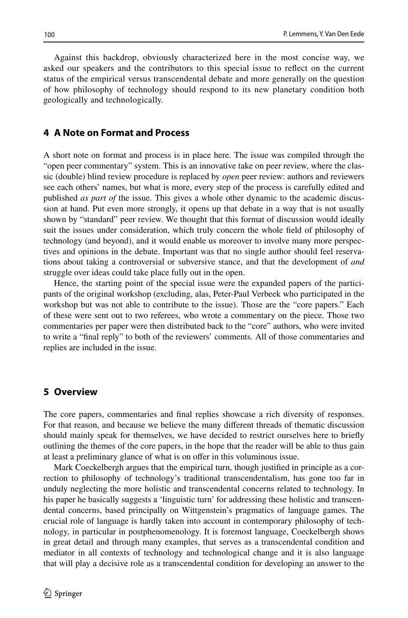Against this backdrop, obviously characterized here in the most concise way, we asked our speakers and the contributors to this special issue to refect on the current status of the empirical versus transcendental debate and more generally on the question of how philosophy of technology should respond to its new planetary condition both geologically and technologically.

## **4 A Note on Format and Process**

A short note on format and process is in place here. The issue was compiled through the "open peer commentary" system. This is an innovative take on peer review, where the classic (double) blind review procedure is replaced by *open* peer review: authors and reviewers see each others' names, but what is more, every step of the process is carefully edited and published *as part of* the issue. This gives a whole other dynamic to the academic discussion at hand. Put even more strongly, it opens up that debate in a way that is not usually shown by "standard" peer review. We thought that this format of discussion would ideally suit the issues under consideration, which truly concern the whole feld of philosophy of technology (and beyond), and it would enable us moreover to involve many more perspectives and opinions in the debate. Important was that no single author should feel reservations about taking a controversial or subversive stance, and that the development of *and* struggle over ideas could take place fully out in the open.

Hence, the starting point of the special issue were the expanded papers of the participants of the original workshop (excluding, alas, Peter-Paul Verbeek who participated in the workshop but was not able to contribute to the issue). Those are the "core papers." Each of these were sent out to two referees, who wrote a commentary on the piece. Those two commentaries per paper were then distributed back to the "core" authors, who were invited to write a "fnal reply" to both of the reviewers' comments. All of those commentaries and replies are included in the issue.

#### **5 Overview**

The core papers, commentaries and fnal replies showcase a rich diversity of responses. For that reason, and because we believe the many diferent threads of thematic discussion should mainly speak for themselves, we have decided to restrict ourselves here to briefy outlining the themes of the core papers, in the hope that the reader will be able to thus gain at least a preliminary glance of what is on ofer in this voluminous issue.

Mark Coeckelbergh argues that the empirical turn, though justifed in principle as a correction to philosophy of technology's traditional transcendentalism, has gone too far in unduly neglecting the more holistic and transcendental concerns related to technology. In his paper he basically suggests a 'linguistic turn' for addressing these holistic and transcendental concerns, based principally on Wittgenstein's pragmatics of language games. The crucial role of language is hardly taken into account in contemporary philosophy of technology, in particular in postphenomenology. It is foremost language, Coeckelbergh shows in great detail and through many examples, that serves as a transcendental condition and mediator in all contexts of technology and technological change and it is also language that will play a decisive role as a transcendental condition for developing an answer to the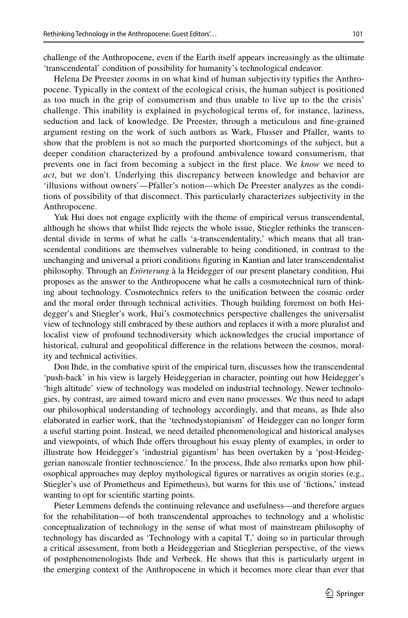challenge of the Anthropocene, even if the Earth itself appears increasingly as the ultimate 'transcendental' condition of possibility for humanity's technological endeavor.

Helena De Preester zooms in on what kind of human subjectivity typifes the Anthropocene. Typically in the context of the ecological crisis, the human subject is positioned as too much in the grip of consumerism and thus unable to live up to the the crisis' challenge. This inability is explained in psychological terms of, for instance, laziness, seduction and lack of knowledge. De Preester, through a meticulous and fne-grained argument resting on the work of such authors as Wark, Flusser and Pfaller, wants to show that the problem is not so much the purported shortcomings of the subject, but a deeper condition characterized by a profound ambivalence toward consumerism, that prevents one in fact from becoming a subject in the frst place. We *know* we need to *act*, but we don't. Underlying this discrepancy between knowledge and behavior are 'illusions without owners'—Pfaller's notion—which De Preester analyzes as the conditions of possibility of that disconnect. This particularly characterizes subjectivity in the Anthropocene.

Yuk Hui does not engage explicitly with the theme of empirical versus transcendental, although he shows that whilst Ihde rejects the whole issue, Stiegler rethinks the transcendental divide in terms of what he calls 'a-transcendentality,' which means that all transcendental conditions are themselves vulnerable to being conditioned, in contrast to the unchanging and universal a priori conditions fguring in Kantian and later transcendentalist philosophy. Through an *Erörterung* à la Heidegger of our present planetary condition, Hui proposes as the answer to the Anthropocene what he calls a cosmotechnical turn of thinking about technology. Cosmotechnics refers to the unifcation between the cosmic order and the moral order through technical activities. Though building foremost on both Heidegger's and Stiegler's work, Hui's cosmotechnics perspective challenges the universalist view of technology still embraced by these authors and replaces it with a more pluralist and localist view of profound technodiversity which acknowledges the crucial importance of historical, cultural and geopolitical diference in the relations between the cosmos, morality and technical activities.

Don Ihde, in the combative spirit of the empirical turn, discusses how the transcendental 'push-back' in his view is largely Heideggerian in character, pointing out how Heidegger's 'high altitude' view of technology was modeled on industrial technology. Newer technologies, by contrast, are aimed toward micro and even nano processes. We thus need to adapt our philosophical understanding of technology accordingly, and that means, as Ihde also elaborated in earlier work, that the 'technodystopianism' of Heidegger can no longer form a useful starting point. Instead, we need detailed phenomenological and historical analyses and viewpoints, of which Ihde ofers throughout his essay plenty of examples, in order to illustrate how Heidegger's 'industrial gigantism' has been overtaken by a 'post-Heideggerian nanoscale frontier technoscience.' In the process, Ihde also remarks upon how philosophical approaches may deploy mythological fgures or narratives as origin stories (e.g., Stiegler's use of Prometheus and Epimetheus), but warns for this use of 'fctions,' instead wanting to opt for scientifc starting points.

Pieter Lemmens defends the continuing relevance and usefulness—and therefore argues for the rehabilitation—of both transcendental approaches to technology and a wholistic conceptualization of technology in the sense of what most of mainstream philosophy of technology has discarded as 'Technology with a capital T,' doing so in particular through a critical assessment, from both a Heideggerian and Stieglerian perspective, of the views of postphenomenologists Ihde and Verbeek. He shows that this is particularly urgent in the emerging context of the Anthropocene in which it becomes more clear than ever that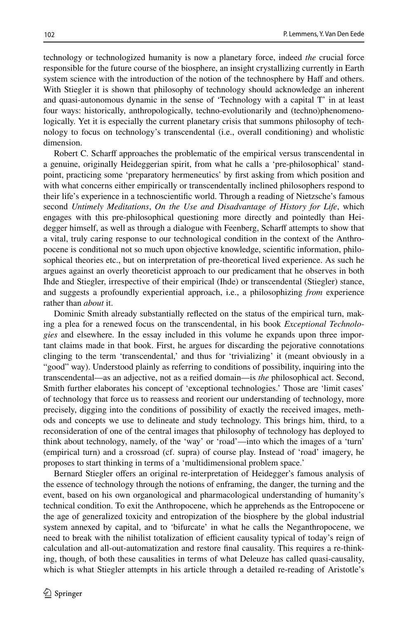technology or technologized humanity is now a planetary force, indeed *the* crucial force responsible for the future course of the biosphere, an insight crystallizing currently in Earth system science with the introduction of the notion of the technosphere by Haff and others. With Stiegler it is shown that philosophy of technology should acknowledge an inherent and quasi-autonomous dynamic in the sense of 'Technology with a capital T' in at least four ways: historically, anthropologically, techno-evolutionarily and (techno)phenomenologically. Yet it is especially the current planetary crisis that summons philosophy of technology to focus on technology's transcendental (i.e., overall conditioning) and wholistic dimension.

Robert C. Scharf approaches the problematic of the empirical versus transcendental in a genuine, originally Heideggerian spirit, from what he calls a 'pre-philosophical' standpoint, practicing some 'preparatory hermeneutics' by frst asking from which position and with what concerns either empirically or transcendentally inclined philosophers respond to their life's experience in a technoscientifc world. Through a reading of Nietzsche's famous second *Untimely Meditations*, *On the Use and Disadvantage of History for Life*, which engages with this pre-philosophical questioning more directly and pointedly than Heidegger himself, as well as through a dialogue with Feenberg, Scharff attempts to show that a vital, truly caring response to our technological condition in the context of the Anthropocene is conditional not so much upon objective knowledge, scientifc information, philosophical theories etc., but on interpretation of pre-theoretical lived experience. As such he argues against an overly theoreticist approach to our predicament that he observes in both Ihde and Stiegler, irrespective of their empirical (Ihde) or transcendental (Stiegler) stance, and suggests a profoundly experiential approach, i.e., a philosophizing *from* experience rather than *about* it.

Dominic Smith already substantially refected on the status of the empirical turn, making a plea for a renewed focus on the transcendental, in his book *Exceptional Technologies* and elsewhere. In the essay included in this volume he expands upon three important claims made in that book. First, he argues for discarding the pejorative connotations clinging to the term 'transcendental,' and thus for 'trivializing' it (meant obviously in a "good" way). Understood plainly as referring to conditions of possibility, inquiring into the transcendental—as an adjective, not as a reifed domain—is *the* philosophical act. Second, Smith further elaborates his concept of 'exceptional technologies.' Those are 'limit cases' of technology that force us to reassess and reorient our understanding of technology, more precisely, digging into the conditions of possibility of exactly the received images, methods and concepts we use to delineate and study technology. This brings him, third, to a reconsideration of one of the central images that philosophy of technology has deployed to think about technology, namely, of the 'way' or 'road'—into which the images of a 'turn' (empirical turn) and a crossroad (cf. supra) of course play. Instead of 'road' imagery, he proposes to start thinking in terms of a 'multidimensional problem space.'

Bernard Stiegler offers an original re-interpretation of Heidegger's famous analysis of the essence of technology through the notions of enframing, the danger, the turning and the event, based on his own organological and pharmacological understanding of humanity's technical condition. To exit the Anthropocene, which he apprehends as the Entropocene or the age of generalized toxicity and entropization of the biosphere by the global industrial system annexed by capital, and to 'bifurcate' in what he calls the Neganthropocene, we need to break with the nihilist totalization of efficient causality typical of today's reign of calculation and all-out-automatization and restore fnal causality. This requires a re-thinking, though, of both these causalities in terms of what Deleuze has called quasi-causality, which is what Stiegler attempts in his article through a detailed re-reading of Aristotle's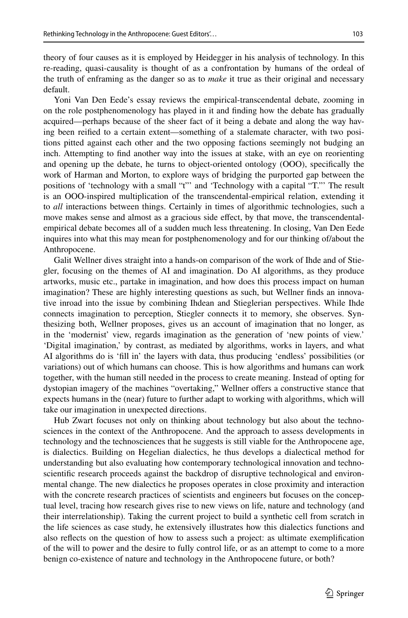theory of four causes as it is employed by Heidegger in his analysis of technology. In this re-reading, quasi-causality is thought of as a confrontation by humans of the ordeal of the truth of enframing as the danger so as to *make* it true as their original and necessary default.

Yoni Van Den Eede's essay reviews the empirical-transcendental debate, zooming in on the role postphenomenology has played in it and fnding how the debate has gradually acquired—perhaps because of the sheer fact of it being a debate and along the way having been reifed to a certain extent—something of a stalemate character, with two positions pitted against each other and the two opposing factions seemingly not budging an inch. Attempting to fnd another way into the issues at stake, with an eye on reorienting and opening up the debate, he turns to object-oriented ontology (OOO), specifcally the work of Harman and Morton, to explore ways of bridging the purported gap between the positions of 'technology with a small "t"' and 'Technology with a capital "T."' The result is an OOO-inspired multiplication of the transcendental-empirical relation, extending it to *all* interactions between things. Certainly in times of algorithmic technologies, such a move makes sense and almost as a gracious side efect, by that move, the transcendentalempirical debate becomes all of a sudden much less threatening. In closing, Van Den Eede inquires into what this may mean for postphenomenology and for our thinking of/about the Anthropocene.

Galit Wellner dives straight into a hands-on comparison of the work of Ihde and of Stiegler, focusing on the themes of AI and imagination. Do AI algorithms, as they produce artworks, music etc., partake in imagination, and how does this process impact on human imagination? These are highly interesting questions as such, but Wellner fnds an innovative inroad into the issue by combining Ihdean and Stieglerian perspectives. While Ihde connects imagination to perception, Stiegler connects it to memory, she observes. Synthesizing both, Wellner proposes, gives us an account of imagination that no longer, as in the 'modernist' view, regards imagination as the generation of 'new points of view.' 'Digital imagination,' by contrast, as mediated by algorithms, works in layers, and what AI algorithms do is 'fll in' the layers with data, thus producing 'endless' possibilities (or variations) out of which humans can choose. This is how algorithms and humans can work together, with the human still needed in the process to create meaning. Instead of opting for dystopian imagery of the machines "overtaking," Wellner ofers a constructive stance that expects humans in the (near) future to further adapt to working with algorithms, which will take our imagination in unexpected directions.

Hub Zwart focuses not only on thinking about technology but also about the technosciences in the context of the Anthropocene. And the approach to assess developments in technology and the technosciences that he suggests is still viable for the Anthropocene age, is dialectics. Building on Hegelian dialectics, he thus develops a dialectical method for understanding but also evaluating how contemporary technological innovation and technoscientifc research proceeds against the backdrop of disruptive technological and environmental change. The new dialectics he proposes operates in close proximity and interaction with the concrete research practices of scientists and engineers but focuses on the conceptual level, tracing how research gives rise to new views on life, nature and technology (and their interrelationship). Taking the current project to build a synthetic cell from scratch in the life sciences as case study, he extensively illustrates how this dialectics functions and also refects on the question of how to assess such a project: as ultimate exemplifcation of the will to power and the desire to fully control life, or as an attempt to come to a more benign co-existence of nature and technology in the Anthropocene future, or both?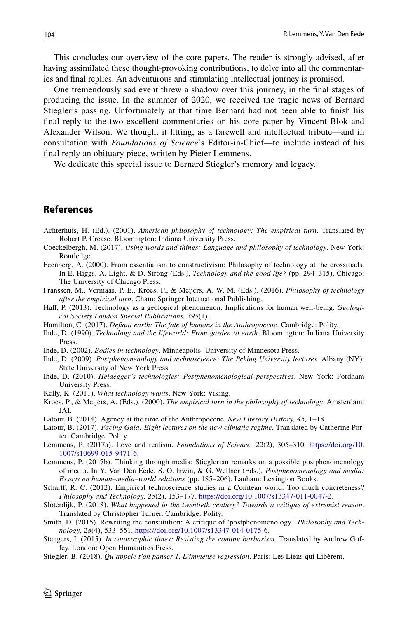This concludes our overview of the core papers. The reader is strongly advised, after having assimilated these thought-provoking contributions, to delve into all the commentaries and fnal replies. An adventurous and stimulating intellectual journey is promised.

One tremendously sad event threw a shadow over this journey, in the fnal stages of producing the issue. In the summer of 2020, we received the tragic news of Bernard Stiegler's passing. Unfortunately at that time Bernard had not been able to fnish his fnal reply to the two excellent commentaries on his core paper by Vincent Blok and Alexander Wilson. We thought it ftting, as a farewell and intellectual tribute—and in consultation with *Foundations of Science*'s Editor-in-Chief—to include instead of his fnal reply an obituary piece, written by Pieter Lemmens.

We dedicate this special issue to Bernard Stiegler's memory and legacy.

### **References**

- <span id="page-9-0"></span>Achterhuis, H. (Ed.). (2001). *American philosophy of technology: The empirical turn*. Translated by Robert P. Crease. Bloomington: Indiana University Press.
- <span id="page-9-7"></span>Coeckelbergh, M. (2017). *Using words and things: Language and philosophy of technology*. New York: Routledge.
- <span id="page-9-4"></span>Feenberg, A. (2000). From essentialism to constructivism: Philosophy of technology at the crossroads. In E. Higgs, A. Light, & D. Strong (Eds.), *Technology and the good life?* (pp. 294–315). Chicago: The University of Chicago Press.
- <span id="page-9-2"></span>Franssen, M., Vermaas, P. E., Kroes, P., & Meijers, A. W. M. (Eds.). (2016). *Philosophy of technology after the empirical turn*. Cham: Springer International Publishing.
- <span id="page-9-20"></span>Haf, P. (2013). Technology as a geological phenomenon: Implications for human well-being. *Geological Society London Special Publications, 395*(1).
- <span id="page-9-17"></span>Hamilton, C. (2017). *Defant earth: The fate of humans in the Anthropocene*. Cambridge: Polity.
- <span id="page-9-19"></span>Ihde, D. (1990). *Technology and the lifeworld: From garden to earth*. Bloomington: Indiana University Press.
- <span id="page-9-18"></span>Ihde, D. (2002). *Bodies in technology*. Minneapolis: University of Minnesota Press.
- <span id="page-9-3"></span>Ihde, D. (2009). *Postphenomenology and technoscience: The Peking University lectures*. Albany (NY): State University of New York Press.
- <span id="page-9-10"></span>Ihde, D. (2010). *Heidegger's technologies: Postphenomenological perspectives*. New York: Fordham University Press.
- <span id="page-9-12"></span>Kelly, K. (2011). *What technology wants*. New York: Viking.
- <span id="page-9-1"></span>Kroes, P., & Meijers, A. (Eds.). (2000). *The empirical turn in the philosophy of technology*. Amsterdam: JAI.
- <span id="page-9-14"></span>Latour, B. (2014). Agency at the time of the Anthropocene. *New Literary History, 45,* 1–18.
- <span id="page-9-15"></span>Latour, B. (2017). *Facing Gaia: Eight lectures on the new climatic regime*. Translated by Catherine Porter. Cambridge: Polity.
- <span id="page-9-9"></span>Lemmens, P. (2017a). Love and realism. *Foundations of Science, 22*(2), 305–310. [https://doi.org/10.](https://doi.org/10.1007/s10699-015-9471-6) [1007/s10699-015-9471-6.](https://doi.org/10.1007/s10699-015-9471-6)
- <span id="page-9-8"></span>Lemmens, P. (2017b). Thinking through media: Stieglerian remarks on a possible postphenomenology of media. In Y. Van Den Eede, S. O. Irwin, & G. Wellner (Eds.), *Postphenomenology and media: Essays on human–media–world relations* (pp. 185–206). Lanham: Lexington Books.
- <span id="page-9-5"></span>Scharf, R. C. (2012). Empirical technoscience studies in a Comtean world: Too much concreteness? *Philosophy and Technology, 25*(2), 153–177.<https://doi.org/10.1007/s13347-011-0047-2>.
- <span id="page-9-13"></span>Sloterdijk, P. (2018). *What happened in the twentieth century? Towards a critique of extremist reason*. Translated by Christopher Turner. Cambridge: Polity.
- <span id="page-9-6"></span>Smith, D. (2015). Rewriting the constitution: A critique of 'postphenomenology.' *Philosophy and Technology, 28*(4), 533–551. [https://doi.org/10.1007/s13347-014-0175-6.](https://doi.org/10.1007/s13347-014-0175-6)
- <span id="page-9-16"></span>Stengers, I. (2015). *In catastrophic times: Resisting the coming barbarism*. Translated by Andrew Goffey. London: Open Humanities Press.
- <span id="page-9-11"></span>Stiegler, B. (2018). *Qu'appele t'on panser 1. L'immense régression*. Paris: Les Liens qui Libèrent.